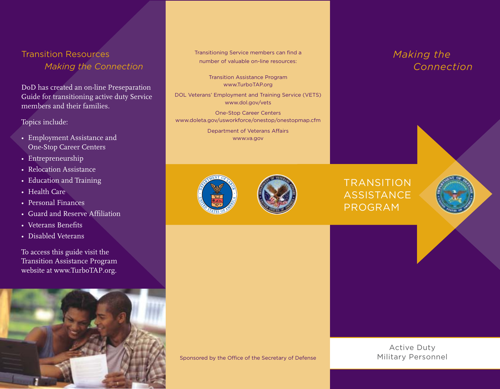## Transition Resources *Making the Connection*

DoD has created an on-line Preseparation Guide for transitioning active duty Service members and their families.

## Topics include:

- Employment Assistance and One-Stop Career Centers
- Entrepreneurship
- Relocation Assistance
- Education and Training
- Health Care
- Personal Finances
- Guard and Reserve Affiliation
- Veterans Benefits
- Disabled Veterans

To access this guide visit the Transition Assistance Program website at www.TurboTAP.org.



Transitioning Service members can find a number of valuable on-line resources:

> Transition Assistance Program www.TurboTAP.org

DOL Veterans' Employment and Training Service (VETS) www.dol.gov/vets

One-Stop Career Centers www.doleta.gov/usworkforce/onestop/onestopmap.cfm

> Department of Veterans Affairs www.va.gov





## *Making the*

TRANSITION **ASSISTANCE** PROGRAM

Sponsored by the Office of the Secretary of Defense

Active Duty Military Personnel